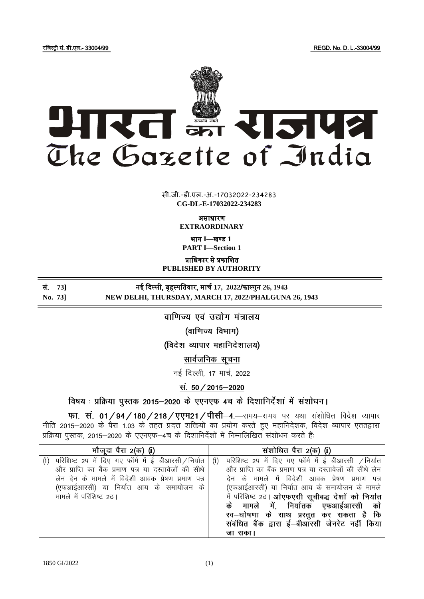रजिस्ट्री सं. डी.एल.- 33004/99 REGD. No. D. L.-33004/99



**x xxxGIDExxx** सी.जी.-डी.एल.-अ.-17032022-234283 **CG-DL-E-17032022-234283**

> असाधारण **EXTRAORDINARY**

भाग **I**—खण् ड **1 PART I—Section 1**

प्राजधकार से प्रकाजित **PUBLISHED BY AUTHORITY**

सं. **73]** नई दिल्ली, बृहस्ट् पजतवार, मार्च **17, 2022**/फाल् गुन **26, 1943 No. 73] NEW DELHI, THURSDAY, MARCH 17, 2022/PHALGUNA 26, 1943**

वाणिज्य एवं उद्योग मंत्रालय

(वाणिज्य विभाग)

(विदेश व्यापार महानिदेशालय)

# सार्वजनिक सूचना

नई दिल्ली, 17 मार्च, 2022

## स. 50 / 2015-2020

विषय : प्रक्रिया पुस्तक 2015–2020 के एएनएफ 4च के दिशानिर्देशा में संशोधन।

फा. सं. 01/94/180/218/एएम21/पीसी-4.—समय-समय पर यथा संशोधित विदेश व्यापार नीति 2015-2020 के पैरा 1.03 के तहत प्रदत्त शक्तियों का प्रयोग करते हुए महानिदेशक, विदेश व्यापार एततद्वारा प्रक्रिया पुस्तक, 2015-2020 के एएनएफ-4च के दिशानिर्देशों में निम्नलिखित संशोधन करते हैं:

| मौजूदा पैरा 2(क) ( <b>i</b> )                                                                                                                                                                                                                                       | संशोधित पैरा 2(क) (i)                                                                                                                                                                                                                                                                                                                                                                                               |
|---------------------------------------------------------------------------------------------------------------------------------------------------------------------------------------------------------------------------------------------------------------------|---------------------------------------------------------------------------------------------------------------------------------------------------------------------------------------------------------------------------------------------------------------------------------------------------------------------------------------------------------------------------------------------------------------------|
| परिशिष्ट 2प में दिए गए फॉर्म में ई—बीआरसी $\sqrt{}$ निर्यात $\mid$<br>(i)<br>(i)<br>और प्राप्ति का बैंक प्रमाण पत्र या दस्तावेजों की सीधे<br>लेन देन के मामले में विदेशी आवक प्रेषण प्रमाण पत्र<br>(एफआईआरसी) या निर्यात आय के समायोजन के<br>मामले में परिशिष्ट 2ठ। | परिशिष्ट 2प में दिए गए फॉर्म में ई-बीआरसी /निर्यात<br>और प्राप्ति का बैंक प्रमाण पत्र या दस्तावेजों की सीधे लेन<br>देन के मामले में विदेशी आवक प्रेषण प्रमाण पत्र<br>(एफआईआरसी) या निर्यात आय के समायोजन के मामले<br>में परिशिष्ट 2ठ। ओएफएसी सूचीबद्ध देशों को निर्यात<br>के मामले में, निर्यातक एफआईआरसी को<br>स्व—घोषणा के साथ प्रस्तुत कर सकता है कि<br>संबंधित बैंक द्वारा ई-बीआरसी जेनरेट नहीं किया<br>जा सका। |